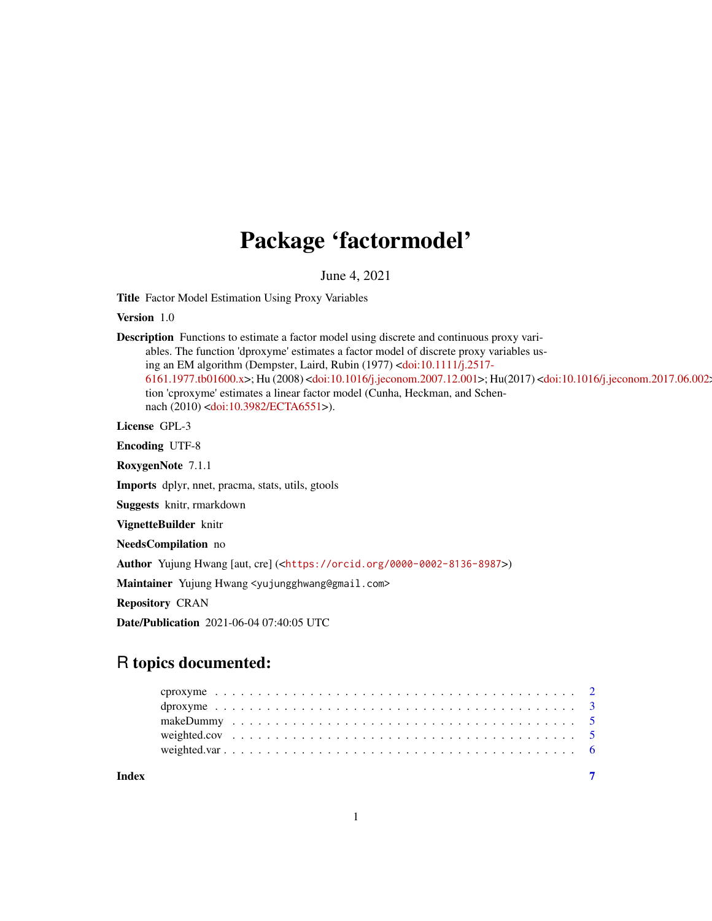# Package 'factormodel'

June 4, 2021

Title Factor Model Estimation Using Proxy Variables

Version 1.0

Description Functions to estimate a factor model using discrete and continuous proxy variables. The function 'dproxyme' estimates a factor model of discrete proxy variables using an EM algorithm (Dempster, Laird, Rubin (1977) [<doi:10.1111/j.2517-](https://doi.org/10.1111/j.2517-6161.1977.tb01600.x) [6161.1977.tb01600.x>](https://doi.org/10.1111/j.2517-6161.1977.tb01600.x); Hu (2008) [<doi:10.1016/j.jeconom.2007.12.001>](https://doi.org/10.1016/j.jeconom.2007.12.001); Hu(2017) [<doi:10.1016/j.jeconom.2017.06.002>](https://doi.org/10.1016/j.jeconom.2017.06.002) ). The function 'cproxyme' estimates a linear factor model (Cunha, Heckman, and Schennach (2010) [<doi:10.3982/ECTA6551>](https://doi.org/10.3982/ECTA6551)).

License GPL-3

Encoding UTF-8

RoxygenNote 7.1.1

Imports dplyr, nnet, pracma, stats, utils, gtools

Suggests knitr, rmarkdown

VignetteBuilder knitr

NeedsCompilation no

Author Yujung Hwang [aut, cre] (<<https://orcid.org/0000-0002-8136-8987>>)

Maintainer Yujung Hwang <yujungghwang@gmail.com>

Repository CRAN

Date/Publication 2021-06-04 07:40:05 UTC

# R topics documented: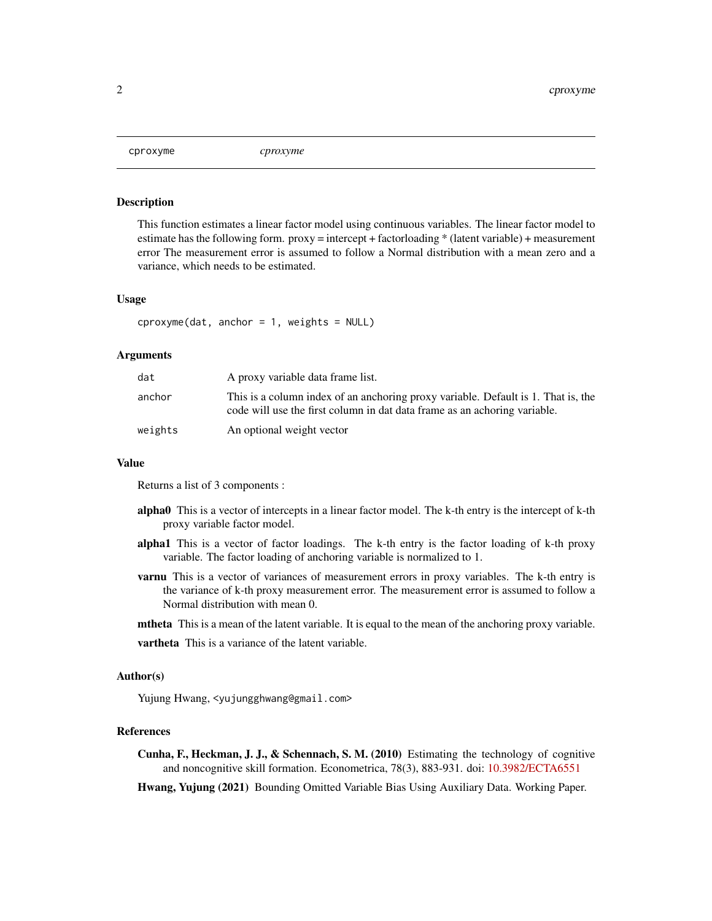<span id="page-1-0"></span>

#### Description

This function estimates a linear factor model using continuous variables. The linear factor model to estimate has the following form.  $prox_y =$  intercept + factor loading  $*$  (latent variable) + measurement error The measurement error is assumed to follow a Normal distribution with a mean zero and a variance, which needs to be estimated.

#### Usage

 $coroxyme(data, anchor = 1, weights = NULL)$ 

# Arguments

| dat     | A proxy variable data frame list.                                                                                                                              |
|---------|----------------------------------------------------------------------------------------------------------------------------------------------------------------|
| anchor  | This is a column index of an anchoring proxy variable. Default is 1. That is, the<br>code will use the first column in dat data frame as an achoring variable. |
| weights | An optional weight vector                                                                                                                                      |

#### Value

Returns a list of 3 components :

- alpha0 This is a vector of intercepts in a linear factor model. The k-th entry is the intercept of k-th proxy variable factor model.
- alpha1 This is a vector of factor loadings. The k-th entry is the factor loading of k-th proxy variable. The factor loading of anchoring variable is normalized to 1.
- **varnu** This is a vector of variances of measurement errors in proxy variables. The k-th entry is the variance of k-th proxy measurement error. The measurement error is assumed to follow a Normal distribution with mean 0.
- **mtheta** This is a mean of the latent variable. It is equal to the mean of the anchoring proxy variable.

# Author(s)

Yujung Hwang, <yujungghwang@gmail.com>

#### References

Cunha, F., Heckman, J. J., & Schennach, S. M. (2010) Estimating the technology of cognitive and noncognitive skill formation. Econometrica, 78(3), 883-931. doi: [10.3982/ECTA6551](https://doi.org/10.3982/ECTA6551)

Hwang, Yujung (2021) Bounding Omitted Variable Bias Using Auxiliary Data. Working Paper.

vartheta This is a variance of the latent variable.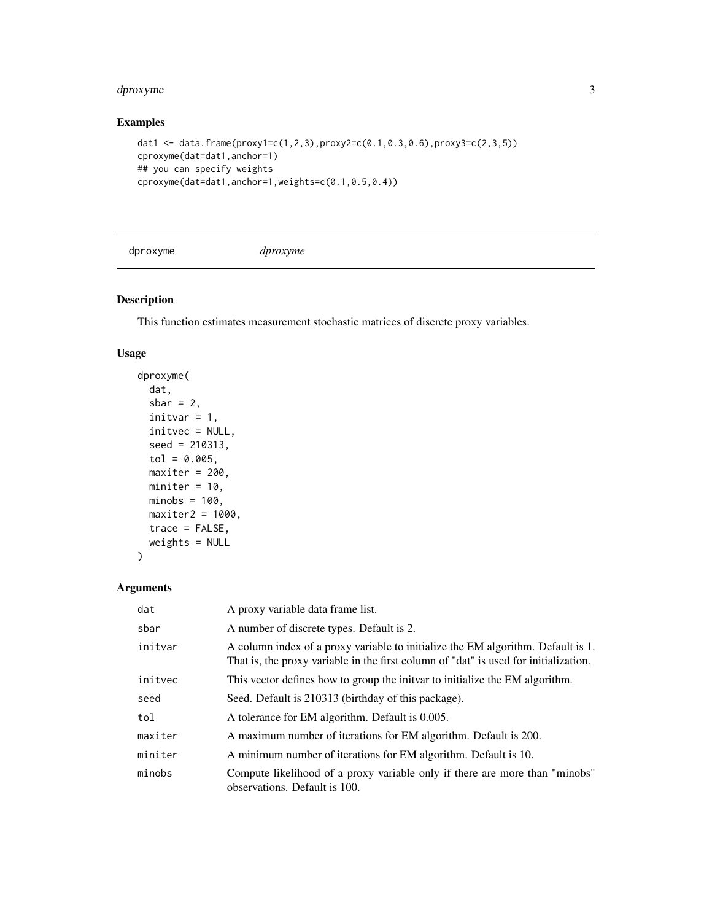#### <span id="page-2-0"></span>dproxyme 3

# Examples

```
dat1 <- data.frame(proxy1=c(1,2,3),proxy2=c(0.1,0.3,0.6),proxy3=c(2,3,5))
cproxyme(dat=dat1,anchor=1)
## you can specify weights
cproxyme(dat=dat1,anchor=1,weights=c(0.1,0.5,0.4))
```
dproxyme *dproxyme*

# Description

This function estimates measurement stochastic matrices of discrete proxy variables.

# Usage

```
dproxyme(
  dat,
  sbar = 2,
  initvar = 1,
  initvec = NULL,
  seed = 210313,
  tol = 0.005,maxiter = 200,
 miniter = 10,
 minobs = 100,
 maxiter2 = 1000,trace = FALSE,weights = NULL
\mathcal{L}
```
# Arguments

| dat     | A proxy variable data frame list.                                                                                                                                        |
|---------|--------------------------------------------------------------------------------------------------------------------------------------------------------------------------|
| sbar    | A number of discrete types. Default is 2.                                                                                                                                |
| initvar | A column index of a proxy variable to initialize the EM algorithm. Default is 1.<br>That is, the proxy variable in the first column of "dat" is used for initialization. |
| initvec | This vector defines how to group the initial to initialize the EM algorithm.                                                                                             |
| seed    | Seed. Default is 210313 (birthday of this package).                                                                                                                      |
| tol     | A tolerance for EM algorithm. Default is 0.005.                                                                                                                          |
| maxiter | A maximum number of iterations for EM algorithm. Default is 200.                                                                                                         |
| miniter | A minimum number of iterations for EM algorithm. Default is 10.                                                                                                          |
| minobs  | Compute likelihood of a proxy variable only if there are more than "minobs"<br>observations. Default is 100.                                                             |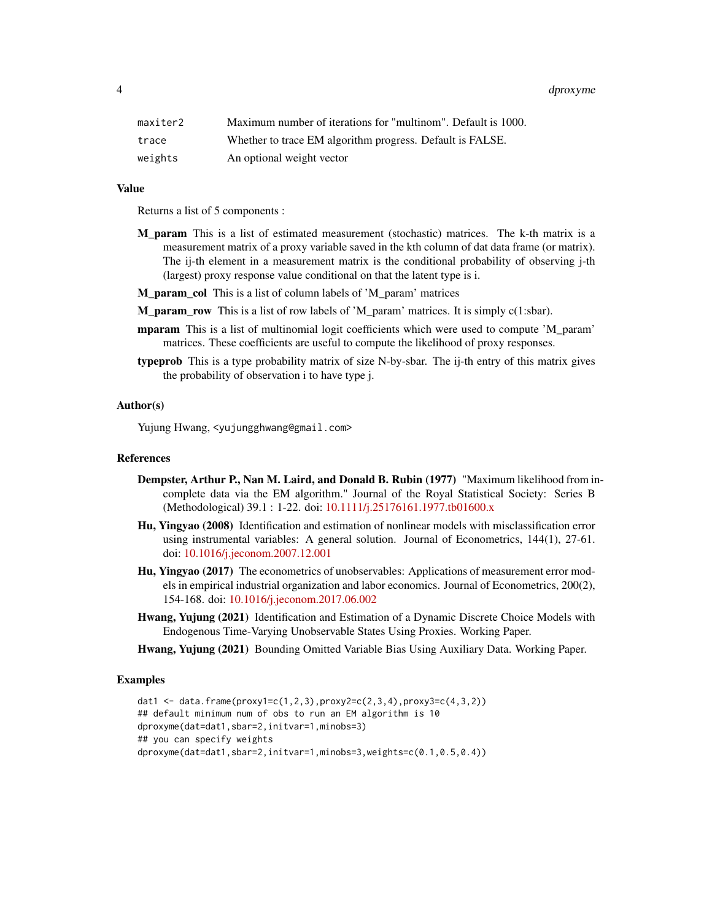4 dproxyme

| maxiter2 | Maximum number of iterations for "multinom". Default is 1000. |
|----------|---------------------------------------------------------------|
| trace    | Whether to trace EM algorithm progress. Default is FALSE.     |
| weights  | An optional weight vector                                     |

#### Value

Returns a list of 5 components :

- M param This is a list of estimated measurement (stochastic) matrices. The k-th matrix is a measurement matrix of a proxy variable saved in the kth column of dat data frame (or matrix). The ij-th element in a measurement matrix is the conditional probability of observing j-th (largest) proxy response value conditional on that the latent type is i.
- M\_param\_col This is a list of column labels of 'M\_param' matrices
- M\_param\_row This is a list of row labels of 'M\_param' matrices. It is simply c(1:sbar).
- mparam This is a list of multinomial logit coefficients which were used to compute 'M\_param' matrices. These coefficients are useful to compute the likelihood of proxy responses.
- typeprob This is a type probability matrix of size N-by-sbar. The ij-th entry of this matrix gives the probability of observation i to have type j.

# Author(s)

Yujung Hwang, <yujungghwang@gmail.com>

### References

- Dempster, Arthur P., Nan M. Laird, and Donald B. Rubin (1977) "Maximum likelihood from incomplete data via the EM algorithm." Journal of the Royal Statistical Society: Series B (Methodological) 39.1 : 1-22. doi: [10.1111/j.25176161.1977.tb01600.x](https://doi.org/10.1111/j.2517-6161.1977.tb01600.x)
- Hu, Yingyao (2008) Identification and estimation of nonlinear models with misclassification error using instrumental variables: A general solution. Journal of Econometrics, 144(1), 27-61. doi: [10.1016/j.jeconom.2007.12.001](https://doi.org/10.1016/j.jeconom.2007.12.001)
- Hu, Yingyao (2017) The econometrics of unobservables: Applications of measurement error models in empirical industrial organization and labor economics. Journal of Econometrics, 200(2), 154-168. doi: [10.1016/j.jeconom.2017.06.002](https://doi.org/10.1016/j.jeconom.2017.06.002)
- Hwang, Yujung (2021) Identification and Estimation of a Dynamic Discrete Choice Models with Endogenous Time-Varying Unobservable States Using Proxies. Working Paper.

Hwang, Yujung (2021) Bounding Omitted Variable Bias Using Auxiliary Data. Working Paper.

# Examples

```
dat1 <- data.frame(proxy1=c(1,2,3),proxy2=c(2,3,4),proxy3=c(4,3,2))
## default minimum num of obs to run an EM algorithm is 10
dproxyme(dat=dat1,sbar=2,initvar=1,minobs=3)
## you can specify weights
dproxyme(dat=dat1,sbar=2,initvar=1,minobs=3,weights=c(0.1,0.5,0.4))
```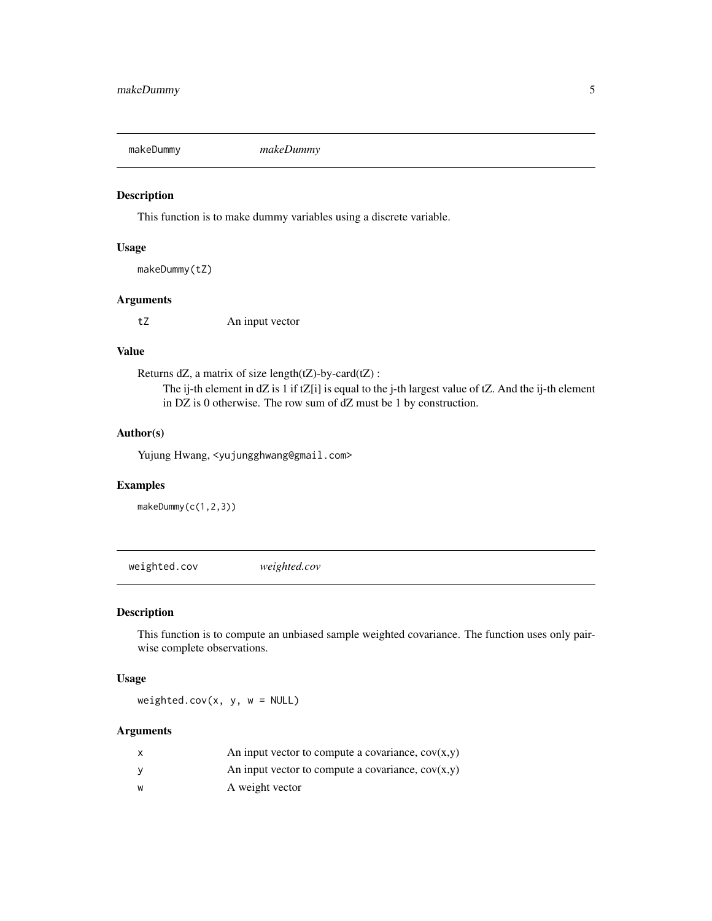<span id="page-4-0"></span>

# Description

This function is to make dummy variables using a discrete variable.

# Usage

makeDummy(tZ)

# Arguments

tZ An input vector

# Value

Returns dZ, a matrix of size length $(LZ)$ -by-card $(LZ)$ :

The ij-th element in dZ is 1 if tZ[i] is equal to the j-th largest value of tZ. And the ij-th element in DZ is 0 otherwise. The row sum of dZ must be 1 by construction.

# Author(s)

Yujung Hwang, <yujungghwang@gmail.com>

# Examples

makeDummy(c(1,2,3))

weighted.cov *weighted.cov*

# Description

This function is to compute an unbiased sample weighted covariance. The function uses only pairwise complete observations.

# Usage

weighted.cov(x, y, w = NULL)

# Arguments

| x | An input vector to compute a covariance, $cov(x,y)$ |
|---|-----------------------------------------------------|
| v | An input vector to compute a covariance, $cov(x,y)$ |
| W | A weight vector                                     |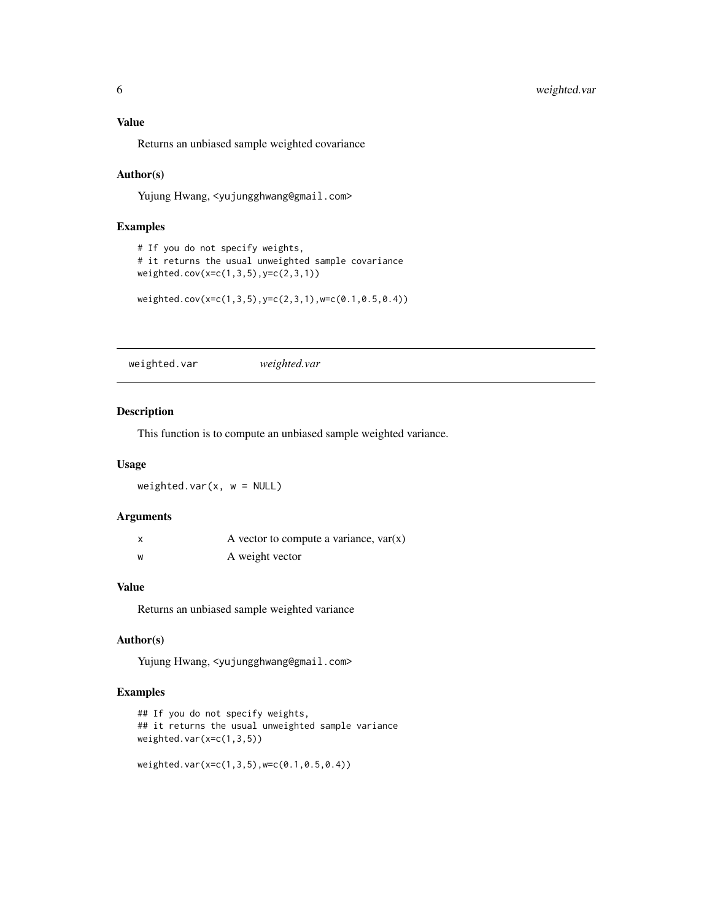<span id="page-5-0"></span>Returns an unbiased sample weighted covariance

#### Author(s)

Yujung Hwang, <yujungghwang@gmail.com>

# Examples

```
# If you do not specify weights,
# it returns the usual unweighted sample covariance
weighted.cov(x=c(1,3,5),y=c(2,3,1))
```
weighted.cov(x=c(1,3,5),y=c(2,3,1),w=c(0.1,0.5,0.4))

weighted.var *weighted.var*

# Description

This function is to compute an unbiased sample weighted variance.

#### Usage

 $weighted.var(x, w = NULL)$ 

# Arguments

| X | A vector to compute a variance, $var(x)$ |
|---|------------------------------------------|
| W | A weight vector                          |

# Value

Returns an unbiased sample weighted variance

# Author(s)

Yujung Hwang, <yujungghwang@gmail.com>

# Examples

```
## If you do not specify weights,
## it returns the usual unweighted sample variance
weighted.var(x=c(1,3,5))
```

```
weighted.var(x=c(1,3,5),w=c(0.1,0.5,0.4))
```